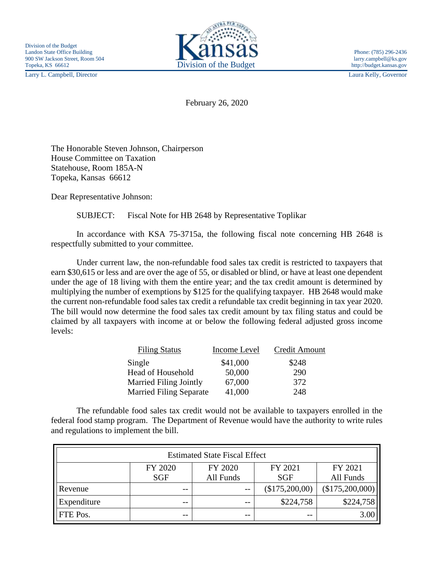Larry L. Campbell, Director Laura Kelly, Governor



February 26, 2020

The Honorable Steven Johnson, Chairperson House Committee on Taxation Statehouse, Room 185A-N Topeka, Kansas 66612

Dear Representative Johnson:

SUBJECT: Fiscal Note for HB 2648 by Representative Toplikar

In accordance with KSA 75-3715a, the following fiscal note concerning HB 2648 is respectfully submitted to your committee.

Under current law, the non-refundable food sales tax credit is restricted to taxpayers that earn \$30,615 or less and are over the age of 55, or disabled or blind, or have at least one dependent under the age of 18 living with them the entire year; and the tax credit amount is determined by multiplying the number of exemptions by \$125 for the qualifying taxpayer. HB 2648 would make the current non-refundable food sales tax credit a refundable tax credit beginning in tax year 2020. The bill would now determine the food sales tax credit amount by tax filing status and could be claimed by all taxpayers with income at or below the following federal adjusted gross income levels:

| <b>Filing Status</b>           | Income Level | <b>Credit Amount</b> |
|--------------------------------|--------------|----------------------|
| Single                         | \$41,000     | \$248                |
| Head of Household              | 50,000       | 290                  |
| <b>Married Filing Jointly</b>  | 67,000       | 372                  |
| <b>Married Filing Separate</b> | 41,000       | 248                  |

The refundable food sales tax credit would not be available to taxpayers enrolled in the federal food stamp program. The Department of Revenue would have the authority to write rules and regulations to implement the bill.

| <b>Estimated State Fiscal Effect</b> |            |           |                |                 |  |
|--------------------------------------|------------|-----------|----------------|-----------------|--|
|                                      | FY 2020    | FY 2020   | FY 2021        | FY 2021         |  |
|                                      | <b>SGF</b> | All Funds | <b>SGF</b>     | All Funds       |  |
| Revenue                              | $- -$      | $- -$     | (\$175,200,00) | (\$175,200,000) |  |
| Expenditure                          | $- -$      | $- -$     | \$224,758      | \$224,758       |  |
| FTE Pos.                             | $- -$      | $- -$     | $- -$          | 3.00            |  |